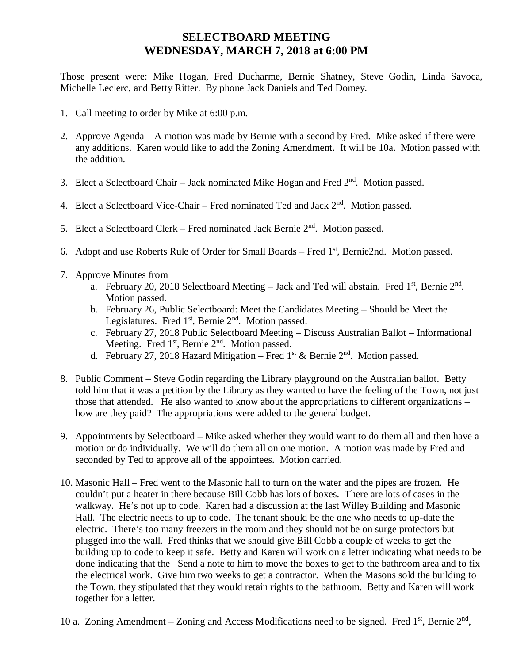## **SELECTBOARD MEETING WEDNESDAY, MARCH 7, 2018 at 6:00 PM**

Those present were: Mike Hogan, Fred Ducharme, Bernie Shatney, Steve Godin, Linda Savoca, Michelle Leclerc, and Betty Ritter. By phone Jack Daniels and Ted Domey.

- 1. Call meeting to order by Mike at 6:00 p.m.
- 2. Approve Agenda A motion was made by Bernie with a second by Fred. Mike asked if there were any additions. Karen would like to add the Zoning Amendment. It will be 10a. Motion passed with the addition.
- 3. Elect a Selectboard Chair Jack nominated Mike Hogan and Fred  $2<sup>nd</sup>$ . Motion passed.
- 4. Elect a Selectboard Vice-Chair Fred nominated Ted and Jack 2<sup>nd</sup>. Motion passed.
- 5. Elect a Selectboard Clerk Fred nominated Jack Bernie  $2<sup>nd</sup>$ . Motion passed.
- 6. Adopt and use Roberts Rule of Order for Small Boards Fred  $1<sup>st</sup>$ , Bernie2nd. Motion passed.
- 7. Approve Minutes from
	- a. February 20, 2018 Selectboard Meeting  $-$  Jack and Ted will abstain. Fred 1<sup>st</sup>, Bernie  $2<sup>nd</sup>$ . Motion passed.
	- b. February 26, Public Selectboard: Meet the Candidates Meeting Should be Meet the Legislatures. Fred  $1<sup>st</sup>$ , Bernie  $2<sup>nd</sup>$ . Motion passed.
	- c. February 27, 2018 Public Selectboard Meeting Discuss Australian Ballot Informational Meeting. Fred 1<sup>st</sup>, Bernie 2<sup>nd</sup>. Motion passed.
	- d. February 27, 2018 Hazard Mitigation Fred  $1^{st}$  & Bernie  $2^{nd}$ . Motion passed.
- 8. Public Comment Steve Godin regarding the Library playground on the Australian ballot. Betty told him that it was a petition by the Library as they wanted to have the feeling of the Town, not just those that attended. He also wanted to know about the appropriations to different organizations – how are they paid? The appropriations were added to the general budget.
- 9. Appointments by Selectboard Mike asked whether they would want to do them all and then have a motion or do individually. We will do them all on one motion. A motion was made by Fred and seconded by Ted to approve all of the appointees. Motion carried.
- 10. Masonic Hall Fred went to the Masonic hall to turn on the water and the pipes are frozen. He couldn't put a heater in there because Bill Cobb has lots of boxes. There are lots of cases in the walkway. He's not up to code. Karen had a discussion at the last Willey Building and Masonic Hall. The electric needs to up to code. The tenant should be the one who needs to up-date the electric. There's too many freezers in the room and they should not be on surge protectors but plugged into the wall. Fred thinks that we should give Bill Cobb a couple of weeks to get the building up to code to keep it safe. Betty and Karen will work on a letter indicating what needs to be done indicating that the Send a note to him to move the boxes to get to the bathroom area and to fix the electrical work. Give him two weeks to get a contractor. When the Masons sold the building to the Town, they stipulated that they would retain rights to the bathroom. Betty and Karen will work together for a letter.
- 10 a. Zoning Amendment Zoning and Access Modifications need to be signed. Fred  $1<sup>st</sup>$ , Bernie  $2<sup>nd</sup>$ ,